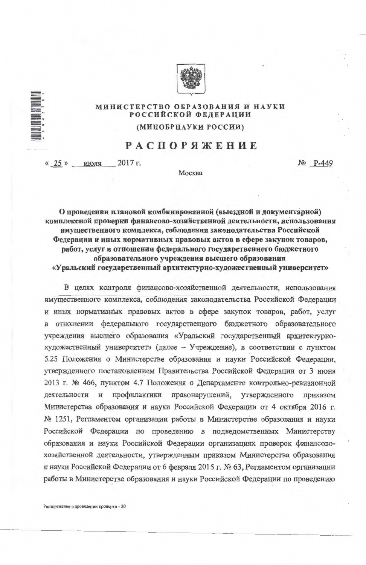

## МИНИСТЕРСТВО ОБРАЗОВАНИЯ И НАУКИ РОССИЙСКОЙ ФЕДЕРАЦИИ

## (МИНОБРНАУКИ РОССИИ)

## **РАСПОРЯЖЕНИЕ**

«  $25$  » июля 2017 r. No P-449

Москва

О проведении плановой комбинированной (выездной и документарной) комплексной проверки финансово-хозяйственной деятельности, использования имущественного комплекса, соблюдения законодательства Российской Федерации и иных нормативных правовых актов в сфере закупок товаров, работ, услуг в отношении федерального государственного бюджетного образовательного учреждения высшего образования «Уральский государственный архитектурно-художественный университет»

В целях контроля финансово-хозяйственной деятельности, использования имущественного комплекса, соблюдения законодательства Российской Федерации и иных нормативных правовых актов в сфере закупок товаров, работ, услуг федерального государственного бюджетного образовательного отношении учреждения высшего образования «Уральский государственный архитектурнохудожественный университет» (далее - Учреждение), в соответствии с пунктом 5.25 Положения о Министерстве образования и науки Российской Федерации, утвержденного постановлением Правительства Российской Федерации от 3 июня 2013 г. № 466, пунктом 4.7 Положения о Департаменте контрольно-ревизионной деятельности и профилактики правонарушений, утвержденного приказом Министерства образования и науки Российской Федерации от 4 октября 2016 г.

№ 1251, Регламентом организации работы в Министерстве образования и науки Российской Федерации по проведению в подведомственных Министерству образования и науки Российской Федерации организациях проверок финансовохозяйственной деятельности, утвержденным приказом Министерства образования и науки Российской Федерации от 6 февраля 2015 г. № 63, Регламентом организации работы в Министерстве образования и науки Российской Федерации по проведению

Распоряжение о проведении проверки - 20